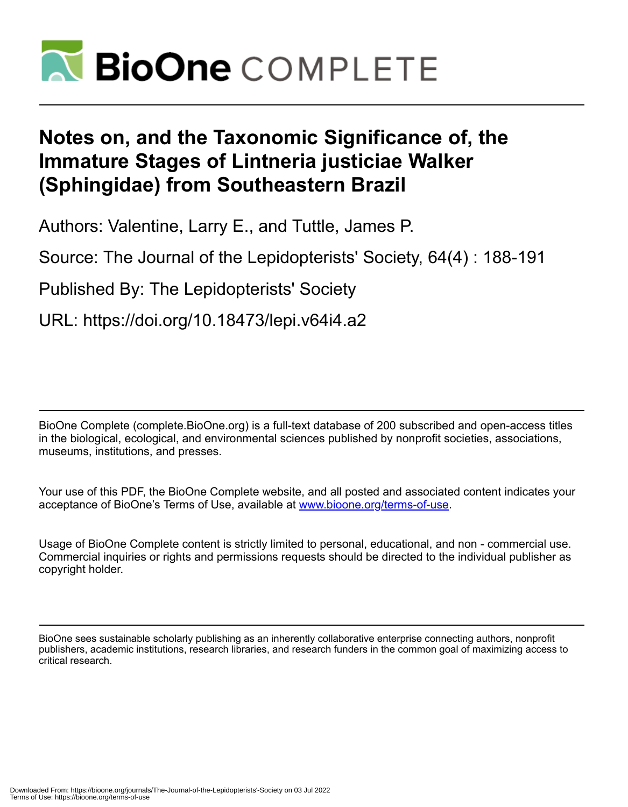

# **Notes on, and the Taxonomic Significance of, the Immature Stages of Lintneria justiciae Walker (Sphingidae) from Southeastern Brazil**

Authors: Valentine, Larry E., and Tuttle, James P.

Source: The Journal of the Lepidopterists' Society, 64(4) : 188-191

Published By: The Lepidopterists' Society

URL: https://doi.org/10.18473/lepi.v64i4.a2

BioOne Complete (complete.BioOne.org) is a full-text database of 200 subscribed and open-access titles in the biological, ecological, and environmental sciences published by nonprofit societies, associations, museums, institutions, and presses.

Your use of this PDF, the BioOne Complete website, and all posted and associated content indicates your acceptance of BioOne's Terms of Use, available at www.bioone.org/terms-of-use.

Usage of BioOne Complete content is strictly limited to personal, educational, and non - commercial use. Commercial inquiries or rights and permissions requests should be directed to the individual publisher as copyright holder.

BioOne sees sustainable scholarly publishing as an inherently collaborative enterprise connecting authors, nonprofit publishers, academic institutions, research libraries, and research funders in the common goal of maximizing access to critical research.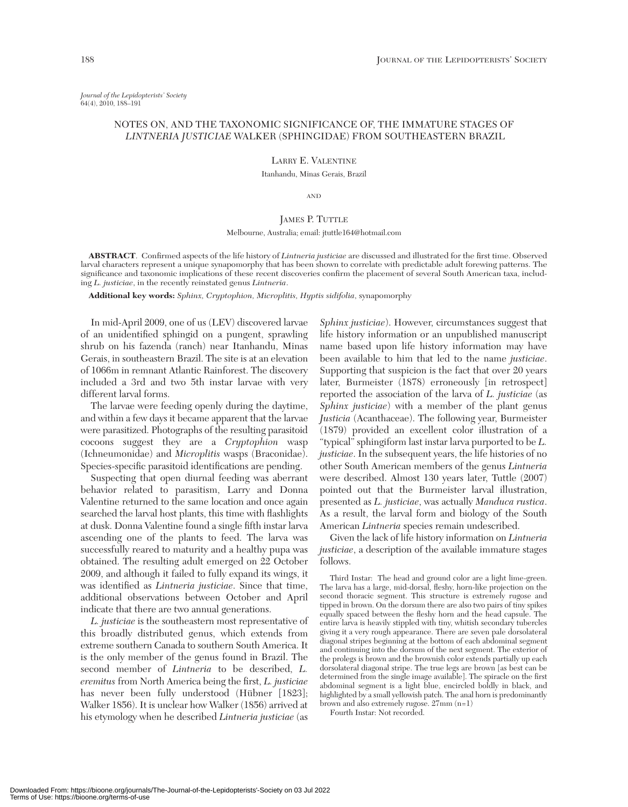*Journal of the Lepidopterists' Society* 64(4), 2010, 188–191

## NOTES ON, AND THE TAXONOMIC SIGNIFICANCE OF, THE IMMATURE STAGES OF *LINTNERIA JUSTICIAE* WALKER (SPHINGIDAE) FROM SOUTHEASTERN BRAZIL

LARRY E. VALENTINE

Itanhandu, Minas Gerais, Brazil

AND

## JAMES P. TUTTLE

### Melbourne, Australia; email: jtuttle164@hotmail.com

**ABSTRACT**. Confirmed aspects of the life history of *Lintneria justiciae* are discussed and illustrated for the first time. Observed larval characters represent a unique synapomorphy that has been shown to correlate with predictable adult forewing patterns. The significance and taxonomic implications of these recent discoveries confirm the placement of several South American taxa, including *L. justiciae*, in the recently reinstated genus *Lintneria*.

**Additional key words:** *Sphinx, Cryptophion, Microplitis, Hyptis sidifolia*, synapomorphy

In mid-April 2009, one of us (LEV) discovered larvae of an unidentified sphingid on a pungent, sprawling shrub on his fazenda (ranch) near Itanhandu, Minas Gerais, in southeastern Brazil. The site is at an elevation of 1066m in remnant Atlantic Rainforest. The discovery included a 3rd and two 5th instar larvae with very different larval forms.

The larvae were feeding openly during the daytime, and within a few days it became apparent that the larvae were parasitized. Photographs of the resulting parasitoid cocoons suggest they are a *Cryptophion* wasp (Ichneumonidae) and *Microplitis* wasps (Braconidae). Species-specific parasitoid identifications are pending.

Suspecting that open diurnal feeding was aberrant behavior related to parasitism, Larry and Donna Valentine returned to the same location and once again searched the larval host plants, this time with flashlights at dusk. Donna Valentine found a single fifth instar larva ascending one of the plants to feed. The larva was successfully reared to maturity and a healthy pupa was obtained. The resulting adult emerged on 22 October 2009, and although it failed to fully expand its wings, it was identified as *Lintneria justiciae*. Since that time, additional observations between October and April indicate that there are two annual generations.

*L. justiciae* is the southeastern most representative of this broadly distributed genus, which extends from extreme southern Canada to southern South America. It is the only member of the genus found in Brazil. The second member of *Lintneria* to be described, *L. eremitus* from North America being the first, *L. justiciae* has never been fully understood (Hübner [1823]; Walker 1856). It is unclear how Walker (1856) arrived at his etymology when he described *Lintneria justiciae* (as

*Sphinx justiciae*). However, circumstances suggest that life history information or an unpublished manuscript name based upon life history information may have been available to him that led to the name *justiciae*. Supporting that suspicion is the fact that over 20 years later, Burmeister (1878) erroneously [in retrospect] reported the association of the larva of *L. justiciae* (as *Sphinx justiciae*) with a member of the plant genus *Justicia* (Acanthaceae). The following year, Burmeister (1879) provided an excellent color illustration of a "typical" sphingiform last instar larva purported to be *L. justiciae*. In the subsequent years, the life histories of no other South American members of the genus *Lintneria* were described. Almost 130 years later, Tuttle (2007) pointed out that the Burmeister larval illustration, presented as *L. justiciae*, was actually *Manduca rustica*. As a result, the larval form and biology of the South American *Lintneria* species remain undescribed.

Given the lack of life history information on *Lintneria justiciae*, a description of the available immature stages follows.

Third Instar: The head and ground color are a light lime-green. The larva has a large, mid-dorsal, fleshy, horn-like projection on the second thoracic segment. This structure is extremely rugose and tipped in brown. On the dorsum there are also two pairs of tiny spikes equally spaced between the fleshy horn and the head capsule. The entire larva is heavily stippled with tiny, whitish secondary tubercles giving it a very rough appearance. There are seven pale dorsolateral diagonal stripes beginning at the bottom of each abdominal segment and continuing into the dorsum of the next segment. The exterior of the prolegs is brown and the brownish color extends partially up each dorsolateral diagonal stripe. The true legs are brown [as best can be determined from the single image available]. The spiracle on the first abdominal segment is a light blue, encircled boldly in black, and highlighted by a small yellowish patch. The anal horn is predominantly brown and also extremely rugose. 27mm (n=1)

Fourth Instar: Not recorded.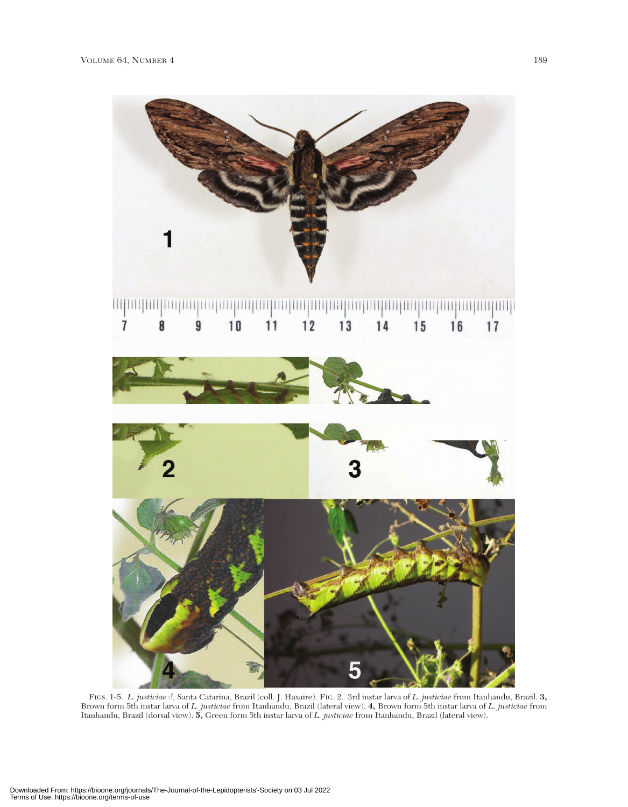

FIGS. 1-5. *L. justiciae* c, Santa Catarina, Brazil (coll. J. Haxaire). FIG. 2. 3rd instar larva of *L. justiciae* from Itanhandu, Brazil. 3,<br>Brown form 5th instar larva of *L. justiciae* from Itanhandu, Brazil (lateral v Itanhandu, Brazil (dorsal view). **5,** Green form 5th instar larva of *L. justiciae* from Itanhandu, Brazil (lateral view).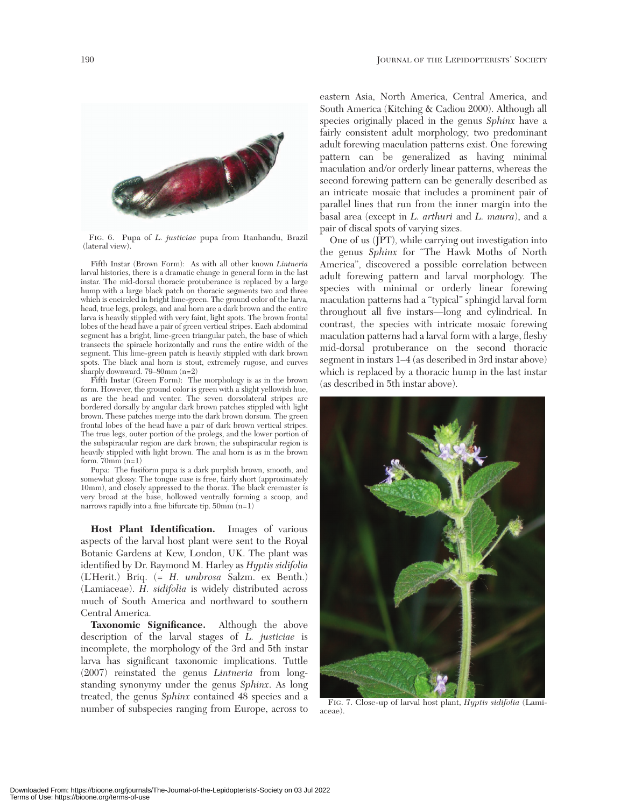

FIG. 6. Pupa of *L. justiciae* pupa from Itanhandu, Brazil (lateral view).

Fifth Instar (Brown Form): As with all other known *Lintneria* larval histories, there is a dramatic change in general form in the last instar. The mid-dorsal thoracic protuberance is replaced by a large hump with a large black patch on thoracic segments two and three which is encircled in bright lime-green. The ground color of the larva, head, true legs, prolegs, and anal horn are a dark brown and the entire larva is heavily stippled with very faint, light spots. The brown frontal lobes of the head have a pair of green vertical stripes. Each abdominal segment has a bright, lime-green triangular patch, the base of which transects the spiracle horizontally and runs the entire width of the segment. This lime-green patch is heavily stippled with dark brown spots. The black anal horn is stout, extremely rugose, and curves sharply downward. 79*–*80mm (n=2)

Fifth Instar (Green Form): The morphology is as in the brown form. However, the ground color is green with a slight yellowish hue, as are the head and venter. The seven dorsolateral stripes are bordered dorsally by angular dark brown patches stippled with light brown. These patches merge into the dark brown dorsum. The green frontal lobes of the head have a pair of dark brown vertical stripes. The true legs, outer portion of the prolegs, and the lower portion of the subspiracular region are dark brown; the subspiracular region is heavily stippled with light brown. The anal horn is as in the brown form.  $70mm(n=1)$ 

Pupa: The fusiform pupa is a dark purplish brown, smooth, and somewhat glossy. The tongue case is free, fairly short (approximately 10mm), and closely appressed to the thorax. The black cremaster is very broad at the base, hollowed ventrally forming a scoop, and narrows rapidly into a fine bifurcate tip. 50mm (n=1)

**Host Plant Identification.** Images of various aspects of the larval host plant were sent to the Royal Botanic Gardens at Kew, London, UK. The plant was identified by Dr. Raymond M. Harley as *Hyptis sidifolia* (L'Herit.) Briq. (= *H. umbrosa* Salzm. ex Benth.) (Lamiaceae). *H. sidifolia* is widely distributed across much of South America and northward to southern Central America.

**Taxonomic Significance.** Although the above description of the larval stages of *L. justiciae* is incomplete, the morphology of the 3rd and 5th instar larva has significant taxonomic implications. Tuttle (2007) reinstated the genus *Lintneria* from longstanding synonymy under the genus *Sphinx*. As long treated, the genus *Sphinx* contained 48 species and a number of subspecies ranging from Europe, across to eastern Asia, North America, Central America, and South America (Kitching & Cadiou 2000). Although all species originally placed in the genus *Sphinx* have a fairly consistent adult morphology, two predominant adult forewing maculation patterns exist. One forewing pattern can be generalized as having minimal maculation and/or orderly linear patterns, whereas the second forewing pattern can be generally described as an intricate mosaic that includes a prominent pair of parallel lines that run from the inner margin into the basal area (except in *L. arthuri* and *L. maura*), and a pair of discal spots of varying sizes.

One of us (JPT), while carrying out investigation into the genus *Sphinx* for "The Hawk Moths of North America", discovered a possible correlation between adult forewing pattern and larval morphology. The species with minimal or orderly linear forewing maculation patterns had a "typical" sphingid larval form throughout all five instars—long and cylindrical. In contrast, the species with intricate mosaic forewing maculation patterns had a larval form with a large, fleshy mid-dorsal protuberance on the second thoracic segment in instars 1*–*4 (as described in 3rd instar above) which is replaced by a thoracic hump in the last instar (as described in 5th instar above).



FIG. 7. Close-up of larval host plant, *Hyptis sidifolia* (Lamiaceae).